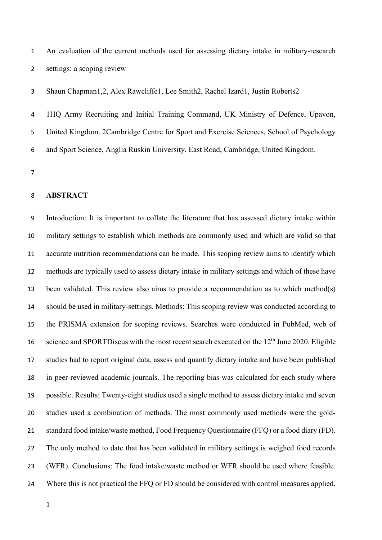An evaluation of the current methods used for assessing dietary intake in military-research settings: a scoping review

Shaun Chapman1,2, Alex Rawcliffe1, Lee Smith2, Rachel Izard1, Justin Roberts2

 1HQ Army Recruiting and Initial Training Command, UK Ministry of Defence, Upavon, United Kingdom. 2Cambridge Centre for Sport and Exercise Sciences, School of Psychology and Sport Science, Anglia Ruskin University, East Road, Cambridge, United Kingdom.

## **ABSTRACT**

 Introduction: It is important to collate the literature that has assessed dietary intake within military settings to establish which methods are commonly used and which are valid so that accurate nutrition recommendations can be made. This scoping review aims to identify which methods are typically used to assess dietary intake in military settings and which of these have been validated. This review also aims to provide a recommendation as to which method(s) should be used in military-settings. Methods: This scoping review was conducted according to the PRISMA extension for scoping reviews. Searches were conducted in PubMed, web of 16 science and SPORTD iscus with the most recent search executed on the  $12<sup>th</sup>$  June 2020. Eligible studies had to report original data, assess and quantify dietary intake and have been published in peer-reviewed academic journals. The reporting bias was calculated for each study where possible. Results: Twenty-eight studies used a single method to assess dietary intake and seven studies used a combination of methods. The most commonly used methods were the gold- standard food intake/waste method, Food Frequency Questionnaire (FFQ) or a food diary (FD). The only method to date that has been validated in military settings is weighed food records (WFR). Conclusions: The food intake/waste method or WFR should be used where feasible. Where this is not practical the FFQ or FD should be considered with control measures applied.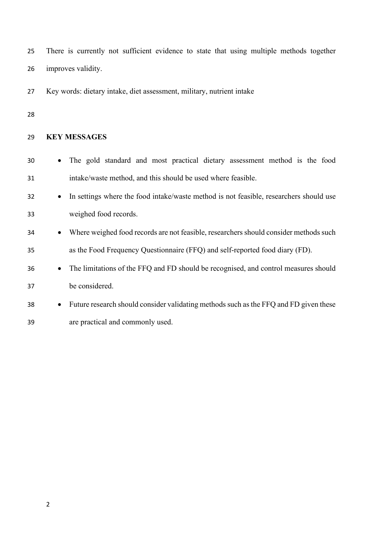| 25 | There is currently not sufficient evidence to state that using multiple methods together |
|----|------------------------------------------------------------------------------------------|
| 26 | improves validity.                                                                       |
| 27 | Key words: dietary intake, diet assessment, military, nutrient intake                    |
| 28 |                                                                                          |
| 29 | <b>KEY MESSAGES</b>                                                                      |
| 30 | The gold standard and most practical dietary assessment method is the food               |
| 31 | intake/waste method, and this should be used where feasible.                             |
| 32 | In settings where the food intake/waste method is not feasible, researchers should use   |
| 33 | weighed food records.                                                                    |
| 34 | Where weighed food records are not feasible, researchers should consider methods such    |
| 35 | as the Food Frequency Questionnaire (FFQ) and self-reported food diary (FD).             |
| 36 | The limitations of the FFQ and FD should be recognised, and control measures should      |
| 37 | be considered.                                                                           |
| 38 | Future research should consider validating methods such as the FFQ and FD given these    |

are practical and commonly used.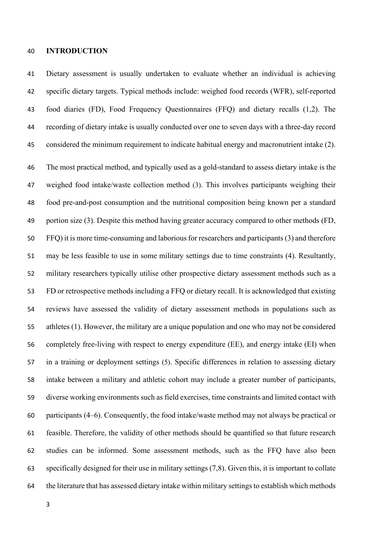#### **INTRODUCTION**

 Dietary assessment is usually undertaken to evaluate whether an individual is achieving specific dietary targets. Typical methods include: weighed food records (WFR), self-reported food diaries (FD), Food Frequency Questionnaires (FFQ) and dietary recalls (1,2). The recording of dietary intake is usually conducted over one to seven days with a three-day record considered the minimum requirement to indicate habitual energy and macronutrient intake (2).

 The most practical method, and typically used as a gold-standard to assess dietary intake is the weighed food intake/waste collection method (3). This involves participants weighing their food pre-and-post consumption and the nutritional composition being known per a standard portion size (3). Despite this method having greater accuracy compared to other methods (FD, FFQ) it is more time-consuming and laborious for researchers and participants(3) and therefore may be less feasible to use in some military settings due to time constraints (4). Resultantly, military researchers typically utilise other prospective dietary assessment methods such as a FD or retrospective methods including a FFQ or dietary recall. It is acknowledged that existing reviews have assessed the validity of dietary assessment methods in populations such as athletes (1). However, the military are a unique population and one who may not be considered completely free-living with respect to energy expenditure (EE), and energy intake (EI) when in a training or deployment settings (5). Specific differences in relation to assessing dietary intake between a military and athletic cohort may include a greater number of participants, diverse working environments such as field exercises, time constraints and limited contact with participants (4–6). Consequently, the food intake/waste method may not always be practical or feasible. Therefore, the validity of other methods should be quantified so that future research studies can be informed. Some assessment methods, such as the FFQ have also been specifically designed for their use in military settings (7,8). Given this, it is important to collate the literature that has assessed dietary intake within military settingsto establish which methods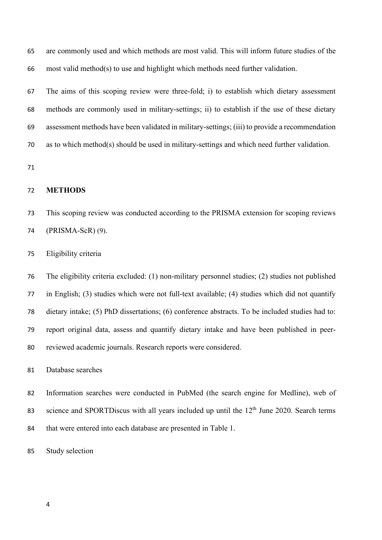are commonly used and which methods are most valid. This will inform future studies of the most valid method(s) to use and highlight which methods need further validation.

 The aims of this scoping review were three-fold; i) to establish which dietary assessment methods are commonly used in military-settings; ii) to establish if the use of these dietary assessment methods have been validated in military-settings; (iii) to provide a recommendation as to which method(s) should be used in military-settings and which need further validation.

### **METHODS**

- This scoping review was conducted according to the PRISMA extension for scoping reviews (PRISMA-ScR) (9).
- Eligibility criteria

 The eligibility criteria excluded: (1) non-military personnel studies; (2) studies not published in English; (3) studies which were not full-text available; (4) studies which did not quantify dietary intake; (5) PhD dissertations; (6) conference abstracts. To be included studies had to: report original data, assess and quantify dietary intake and have been published in peer-reviewed academic journals. Research reports were considered.

Database searches

 Information searches were conducted in PubMed (the search engine for Medline), web of science and SPORTDiscus with all years included up until the  $12<sup>th</sup>$  June 2020. Search terms that were entered into each database are presented in Table 1.

Study selection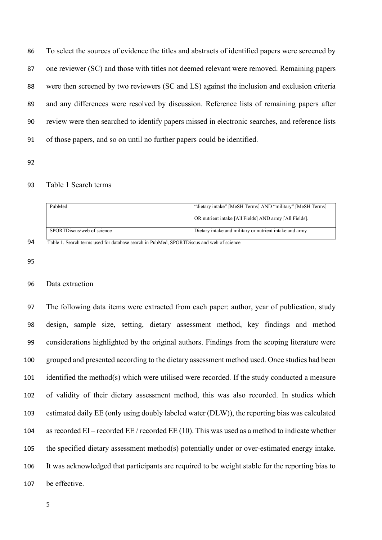To select the sources of evidence the titles and abstracts of identified papers were screened by one reviewer (SC) and those with titles not deemed relevant were removed. Remaining papers were then screened by two reviewers (SC and LS) against the inclusion and exclusion criteria and any differences were resolved by discussion. Reference lists of remaining papers after review were then searched to identify papers missed in electronic searches, and reference lists of those papers, and so on until no further papers could be identified.

#### Table 1 Search terms

| PubMed                     | "dietary intake" [MeSH Terms] AND "military" [MeSH Terms] |  |  |
|----------------------------|-----------------------------------------------------------|--|--|
|                            | OR nutrient intake [All Fields] AND army [All Fields].    |  |  |
| SPORTD scus/web of science | Dietary intake and military or nutrient intake and army   |  |  |

Table 1. Search terms used for database search in PubMed, SPORTDiscus and web of science

#### Data extraction

 The following data items were extracted from each paper: author, year of publication, study design, sample size, setting, dietary assessment method, key findings and method considerations highlighted by the original authors. Findings from the scoping literature were grouped and presented according to the dietary assessment method used. Once studies had been identified the method(s) which were utilised were recorded. If the study conducted a measure of validity of their dietary assessment method, this was also recorded. In studies which estimated daily EE (only using doubly labeled water (DLW)), the reporting bias was calculated as recorded EI – recorded EE / recorded EE (10). This was used as a method to indicate whether the specified dietary assessment method(s) potentially under or over-estimated energy intake. It was acknowledged that participants are required to be weight stable for the reporting bias to be effective.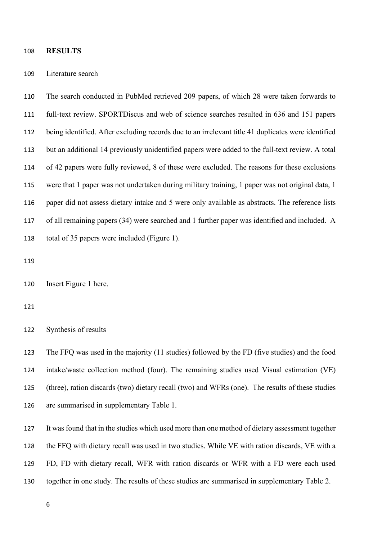#### **RESULTS**

#### Literature search

 The search conducted in PubMed retrieved 209 papers, of which 28 were taken forwards to full-text review. SPORTDiscus and web of science searches resulted in 636 and 151 papers being identified. After excluding records due to an irrelevant title 41 duplicates were identified but an additional 14 previously unidentified papers were added to the full-text review. A total of 42 papers were fully reviewed, 8 of these were excluded. The reasons for these exclusions were that 1 paper was not undertaken during military training, 1 paper was not original data, 1 paper did not assess dietary intake and 5 were only available as abstracts. The reference lists of all remaining papers (34) were searched and 1 further paper was identified and included. A total of 35 papers were included (Figure 1).

Insert Figure 1 here.

Synthesis of results

 The FFQ was used in the majority (11 studies) followed by the FD (five studies) and the food intake/waste collection method (four). The remaining studies used Visual estimation (VE) (three), ration discards (two) dietary recall (two) and WFRs (one). The results of these studies are summarised in supplementary Table 1.

 It was found that in the studies which used more than one method of dietary assessment together the FFQ with dietary recall was used in two studies. While VE with ration discards, VE with a FD, FD with dietary recall, WFR with ration discards or WFR with a FD were each used together in one study. The results of these studies are summarised in supplementary Table 2.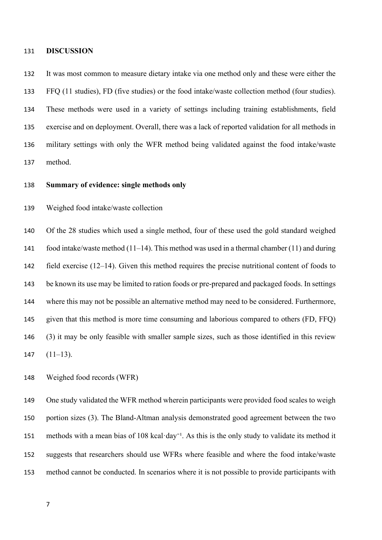#### **DISCUSSION**

 It was most common to measure dietary intake via one method only and these were either the FFQ (11 studies), FD (five studies) or the food intake/waste collection method (four studies). These methods were used in a variety of settings including training establishments, field exercise and on deployment. Overall, there was a lack of reported validation for all methods in military settings with only the WFR method being validated against the food intake/waste method.

### **Summary of evidence: single methods only**

### Weighed food intake/waste collection

 Of the 28 studies which used a single method, four of these used the gold standard weighed food intake/waste method (11–14). This method was used in a thermal chamber (11) and during field exercise (12–14). Given this method requires the precise nutritional content of foods to be known its use may be limited to ration foods or pre-prepared and packaged foods. In settings where this may not be possible an alternative method may need to be considered. Furthermore, given that this method is more time consuming and laborious compared to others (FD, FFQ) (3) it may be only feasible with smaller sample sizes, such as those identified in this review 147  $(11-13)$ .

Weighed food records (WFR)

 One study validated the WFR method wherein participants were provided food scales to weigh portion sizes (3). The Bland-Altman analysis demonstrated good agreement between the two 151 methods with a mean bias of 108 kcal·day<sup>-1</sup>. As this is the only study to validate its method it suggests that researchers should use WFRs where feasible and where the food intake/waste method cannot be conducted. In scenarios where it is not possible to provide participants with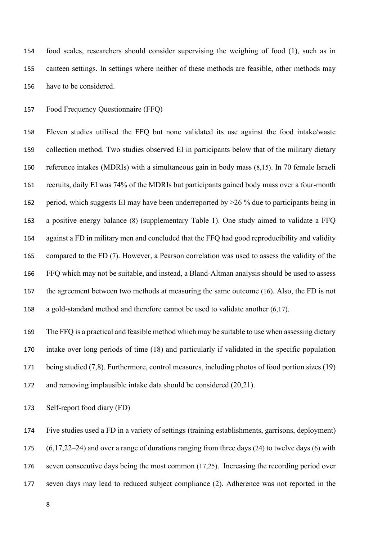food scales, researchers should consider supervising the weighing of food (1), such as in canteen settings. In settings where neither of these methods are feasible, other methods may have to be considered.

Food Frequency Questionnaire (FFQ)

 Eleven studies utilised the FFQ but none validated its use against the food intake/waste collection method. Two studies observed EI in participants below that of the military dietary reference intakes (MDRIs) with a simultaneous gain in body mass (8,15). In 70 female Israeli recruits, daily EI was 74% of the MDRIs but participants gained body mass over a four-month period, which suggests EI may have been underreported by >26 % due to participants being in a positive energy balance (8) (supplementary Table 1). One study aimed to validate a FFQ against a FD in military men and concluded that the FFQ had good reproducibility and validity compared to the FD (7). However, a Pearson correlation was used to assess the validity of the FFQ which may not be suitable, and instead, a Bland-Altman analysis should be used to assess the agreement between two methods at measuring the same outcome (16). Also, the FD is not a gold-standard method and therefore cannot be used to validate another (6,17).

 The FFQ is a practical and feasible method which may be suitable to use when assessing dietary intake over long periods of time (18) and particularly if validated in the specific population 171 being studied (7,8). Furthermore, control measures, including photos of food portion sizes (19) and removing implausible intake data should be considered (20,21).

Self-report food diary (FD)

 Five studies used a FD in a variety of settings (training establishments, garrisons, deployment) (6,17,22–24) and over a range of durations ranging from three days (24) to twelve days (6) with seven consecutive days being the most common (17,25). Increasing the recording period over seven days may lead to reduced subject compliance (2). Adherence was not reported in the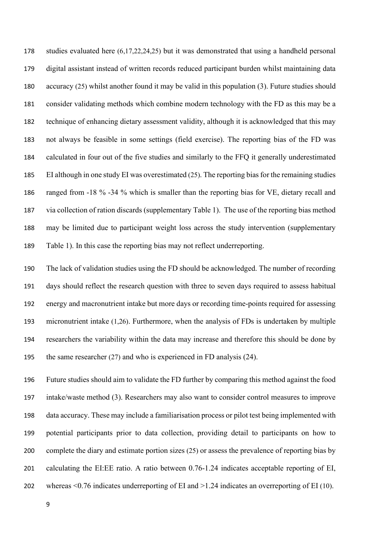studies evaluated here (6,17,22,24,25) but it was demonstrated that using a handheld personal digital assistant instead of written records reduced participant burden whilst maintaining data accuracy (25) whilst another found it may be valid in this population (3). Future studies should consider validating methods which combine modern technology with the FD as this may be a technique of enhancing dietary assessment validity, although it is acknowledged that this may not always be feasible in some settings (field exercise). The reporting bias of the FD was calculated in four out of the five studies and similarly to the FFQ it generally underestimated EI although in one study EI was overestimated (25). The reporting bias for the remaining studies ranged from -18 % -34 % which is smaller than the reporting bias for VE, dietary recall and via collection of ration discards (supplementary Table 1). The use of the reporting bias method may be limited due to participant weight loss across the study intervention (supplementary Table 1). In this case the reporting bias may not reflect underreporting.

 The lack of validation studies using the FD should be acknowledged. The number of recording days should reflect the research question with three to seven days required to assess habitual energy and macronutrient intake but more days or recording time-points required for assessing micronutrient intake (1,26). Furthermore, when the analysis of FDs is undertaken by multiple researchers the variability within the data may increase and therefore this should be done by the same researcher (27) and who is experienced in FD analysis (24).

 Future studies should aim to validate the FD further by comparing this method against the food intake/waste method (3). Researchers may also want to consider control measures to improve data accuracy. These may include a familiarisation process or pilot test being implemented with potential participants prior to data collection, providing detail to participants on how to complete the diary and estimate portion sizes (25) or assess the prevalence of reporting bias by calculating the EI:EE ratio. A ratio between 0.76-1.24 indicates acceptable reporting of EI, whereas <0.76 indicates underreporting of EI and >1.24 indicates an overreporting of EI (10).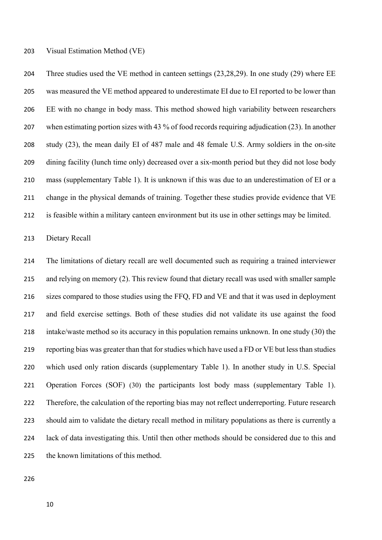Visual Estimation Method (VE)

 Three studies used the VE method in canteen settings (23,28,29). In one study (29) where EE was measured the VE method appeared to underestimate EI due to EI reported to be lower than EE with no change in body mass. This method showed high variability between researchers when estimating portion sizes with 43 % of food records requiring adjudication (23). In another study (23), the mean daily EI of 487 male and 48 female U.S. Army soldiers in the on-site dining facility (lunch time only) decreased over a six-month period but they did not lose body mass (supplementary Table 1). It is unknown if this was due to an underestimation of EI or a change in the physical demands of training. Together these studies provide evidence that VE is feasible within a military canteen environment but its use in other settings may be limited.

Dietary Recall

 The limitations of dietary recall are well documented such as requiring a trained interviewer and relying on memory (2). This review found that dietary recall was used with smaller sample sizes compared to those studies using the FFQ, FD and VE and that it was used in deployment and field exercise settings. Both of these studies did not validate its use against the food intake/waste method so its accuracy in this population remains unknown. In one study (30) the reporting bias was greater than that for studies which have used a FD or VE but less than studies which used only ration discards (supplementary Table 1). In another study in U.S. Special Operation Forces (SOF) (30) the participants lost body mass (supplementary Table 1). Therefore, the calculation of the reporting bias may not reflect underreporting. Future research should aim to validate the dietary recall method in military populations as there is currently a lack of data investigating this. Until then other methods should be considered due to this and the known limitations of this method.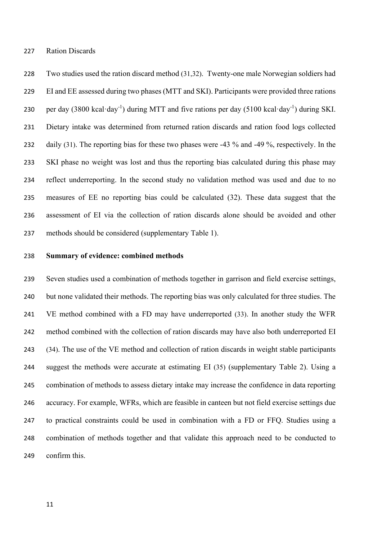Ration Discards

 Two studies used the ration discard method (31,32). Twenty-one male Norwegian soldiers had EI and EE assessed during two phases (MTT and SKI). Participants were provided three rations 230 per day  $(3800 \text{ kcal} \cdot \text{day}^{-1})$  during MTT and five rations per day  $(5100 \text{ kcal} \cdot \text{day}^{-1})$  during SKI. Dietary intake was determined from returned ration discards and ration food logs collected 232 daily (31). The reporting bias for these two phases were -43 % and -49 %, respectively. In the SKI phase no weight was lost and thus the reporting bias calculated during this phase may reflect underreporting. In the second study no validation method was used and due to no measures of EE no reporting bias could be calculated (32). These data suggest that the assessment of EI via the collection of ration discards alone should be avoided and other methods should be considered (supplementary Table 1).

#### **Summary of evidence: combined methods**

 Seven studies used a combination of methods together in garrison and field exercise settings, but none validated their methods. The reporting bias was only calculated for three studies. The VE method combined with a FD may have underreported (33). In another study the WFR method combined with the collection of ration discards may have also both underreported EI (34). The use of the VE method and collection of ration discards in weight stable participants suggest the methods were accurate at estimating EI (35) (supplementary Table 2). Using a combination of methods to assess dietary intake may increase the confidence in data reporting accuracy. For example, WFRs, which are feasible in canteen but not field exercise settings due to practical constraints could be used in combination with a FD or FFQ. Studies using a combination of methods together and that validate this approach need to be conducted to confirm this.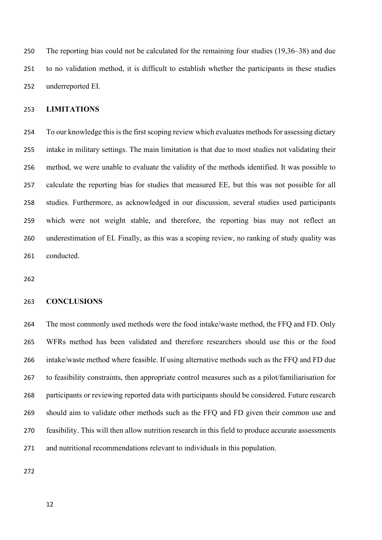The reporting bias could not be calculated for the remaining four studies (19,36–38) and due to no validation method, it is difficult to establish whether the participants in these studies underreported EI.

# **LIMITATIONS**

 To our knowledge this is the first scoping review which evaluates methods for assessing dietary intake in military settings. The main limitation is that due to most studies not validating their method, we were unable to evaluate the validity of the methods identified. It was possible to calculate the reporting bias for studies that measured EE, but this was not possible for all studies. Furthermore, as acknowledged in our discussion, several studies used participants which were not weight stable, and therefore, the reporting bias may not reflect an underestimation of EI. Finally, as this was a scoping review, no ranking of study quality was conducted.

#### **CONCLUSIONS**

 The most commonly used methods were the food intake/waste method, the FFQ and FD. Only WFRs method has been validated and therefore researchers should use this or the food intake/waste method where feasible. If using alternative methods such as the FFQ and FD due to feasibility constraints, then appropriate control measures such as a pilot/familiarisation for participants or reviewing reported data with participants should be considered. Future research should aim to validate other methods such as the FFQ and FD given their common use and feasibility. This will then allow nutrition research in this field to produce accurate assessments and nutritional recommendations relevant to individuals in this population.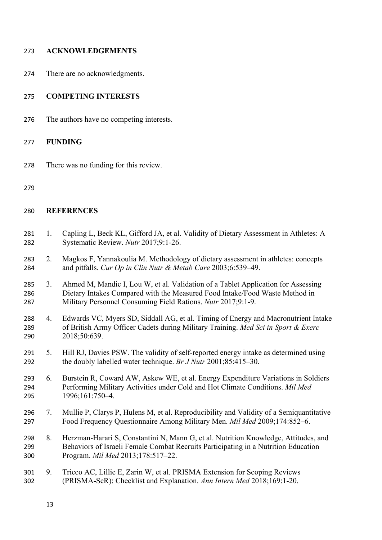| 273 | <b>ACKNOWLEDGEMENTS</b> |
|-----|-------------------------|
|     |                         |

There are no acknowledgments.

# **COMPETING INTERESTS**

The authors have no competing interests.

# **FUNDING**

There was no funding for this review.

# **REFERENCES**

- 281 1. Capling L, Beck KL, Gifford JA, et al. Validity of Dietary Assessment in Athletes: A Systematic Review. *Nutr* 2017;9:1-26.
- 2. Magkos F, Yannakoulia M. Methodology of dietary assessment in athletes: concepts and pitfalls. *Cur Op in Clin Nutr & Metab Care* 2003;6:539–49.
- 3. Ahmed M, Mandic I, Lou W, et al. Validation of a Tablet Application for Assessing Dietary Intakes Compared with the Measured Food Intake/Food Waste Method in Military Personnel Consuming Field Rations. *Nutr* 2017;9:1-9.
- 4. Edwards VC, Myers SD, Siddall AG, et al. Timing of Energy and Macronutrient Intake of British Army Officer Cadets during Military Training. *Med Sci in Sport & Exerc* 2018;50:639.
- 5. Hill RJ, Davies PSW. The validity of self-reported energy intake as determined using the doubly labelled water technique. *Br J Nutr* 2001;85:415–30.
- 6. Burstein R, Coward AW, Askew WE, et al. Energy Expenditure Variations in Soldiers Performing Military Activities under Cold and Hot Climate Conditions. *Mil Med* 1996;161:750–4.
- 7. Mullie P, Clarys P, Hulens M, et al. Reproducibility and Validity of a Semiquantitative Food Frequency Questionnaire Among Military Men. *Mil Med* 2009;174:852–6.
- 8. Herzman-Harari S, Constantini N, Mann G, et al. Nutrition Knowledge, Attitudes, and Behaviors of Israeli Female Combat Recruits Participating in a Nutrition Education Program. *Mil Med* 2013;178:517–22.
- 9. Tricco AC, Lillie E, Zarin W, et al. PRISMA Extension for Scoping Reviews (PRISMA-ScR): Checklist and Explanation. *Ann Intern Med* 2018;169:1-20.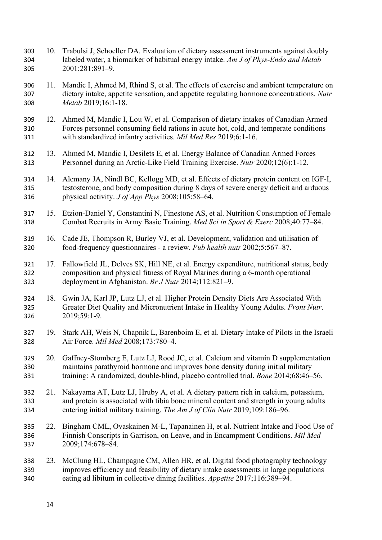- 10. Trabulsi J, Schoeller DA. Evaluation of dietary assessment instruments against doubly labeled water, a biomarker of habitual energy intake. *Am J of Phys-Endo and Metab* 2001;281:891–9.
- 11. Mandic I, Ahmed M, Rhind S, et al. The effects of exercise and ambient temperature on dietary intake, appetite sensation, and appetite regulating hormone concentrations. *Nutr Metab* 2019;16:1-18.
- 12. Ahmed M, Mandic I, Lou W, et al. Comparison of dietary intakes of Canadian Armed Forces personnel consuming field rations in acute hot, cold, and temperate conditions with standardized infantry activities. *Mil Med Res* 2019;6:1-16.
- 13. Ahmed M, Mandic I, Desilets E, et al. Energy Balance of Canadian Armed Forces Personnel during an Arctic-Like Field Training Exercise. *Nutr* 2020;12(6):1-12.
- 14. Alemany JA, Nindl BC, Kellogg MD, et al. Effects of dietary protein content on IGF-I, testosterone, and body composition during 8 days of severe energy deficit and arduous physical activity. *J of App Phys* 2008;105:58–64.
- 15. Etzion-Daniel Y, Constantini N, Finestone AS, et al. Nutrition Consumption of Female Combat Recruits in Army Basic Training. *Med Sci in Sport & Exerc* 2008;40:77–84.
- 16. Cade JE, Thompson R, Burley VJ, et al. Development, validation and utilisation of food-frequency questionnaires - a review. *Pub health nutr* 2002;5:567–87.
- 17. Fallowfield JL, Delves SK, Hill NE, et al. Energy expenditure, nutritional status, body composition and physical fitness of Royal Marines during a 6-month operational deployment in Afghanistan. *Br J Nutr* 2014;112:821–9.
- 18. Gwin JA, Karl JP, Lutz LJ, et al. Higher Protein Density Diets Are Associated With Greater Diet Quality and Micronutrient Intake in Healthy Young Adults. *Front Nutr*. 2019;59:1-9.
- 19. Stark AH, Weis N, Chapnik L, Barenboim E, et al. Dietary Intake of Pilots in the Israeli Air Force. *Mil Med* 2008;173:780–4.
- 20. Gaffney-Stomberg E, Lutz LJ, Rood JC, et al. Calcium and vitamin D supplementation maintains parathyroid hormone and improves bone density during initial military training: A randomized, double-blind, placebo controlled trial. *Bone* 2014;68:46–56.
- 21. Nakayama AT, Lutz LJ, Hruby A, et al. A dietary pattern rich in calcium, potassium, and protein is associated with tibia bone mineral content and strength in young adults entering initial military training. *The Am J of Clin Nutr* 2019;109:186–96.
- 22. Bingham CML, Ovaskainen M-L, Tapanainen H, et al. Nutrient Intake and Food Use of Finnish Conscripts in Garrison, on Leave, and in Encampment Conditions. *Mil Med* 2009;174:678–84.
- 23. McClung HL, Champagne CM, Allen HR, et al. Digital food photography technology improves efficiency and feasibility of dietary intake assessments in large populations eating ad libitum in collective dining facilities. *Appetite* 2017;116:389–94.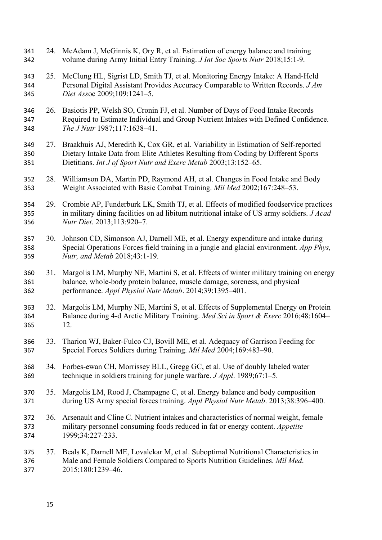24. McAdam J, McGinnis K, Ory R, et al. Estimation of energy balance and training volume during Army Initial Entry Training. *J Int Soc Sports Nutr* 2018;15:1-9. 25. McClung HL, Sigrist LD, Smith TJ, et al. Monitoring Energy Intake: A Hand-Held Personal Digital Assistant Provides Accuracy Comparable to Written Records. *J Am Diet Ass*oc 2009;109:1241–5. 26. Basiotis PP, Welsh SO, Cronin FJ, et al. Number of Days of Food Intake Records Required to Estimate Individual and Group Nutrient Intakes with Defined Confidence. *The J Nutr* 1987;117:1638–41. 27. Braakhuis AJ, Meredith K, Cox GR, et al. Variability in Estimation of Self-reported Dietary Intake Data from Elite Athletes Resulting from Coding by Different Sports Dietitians. *Int J of Sport Nutr and Exerc Metab* 2003;13:152–65. 28. Williamson DA, Martin PD, Raymond AH, et al. Changes in Food Intake and Body Weight Associated with Basic Combat Training. *Mil Med* 2002;167:248–53. 29. Crombie AP, Funderburk LK, Smith TJ, et al. Effects of modified foodservice practices in military dining facilities on ad libitum nutritional intake of US army soldiers. *J Acad Nutr Diet*. 2013;113:920–7. 30. Johnson CD, Simonson AJ, Darnell ME, et al. Energy expenditure and intake during Special Operations Forces field training in a jungle and glacial environment. *App Phys, Nutr, and Metab* 2018;43:1-19. 31. Margolis LM, Murphy NE, Martini S, et al. Effects of winter military training on energy balance, whole-body protein balance, muscle damage, soreness, and physical performance. *Appl Physiol Nutr Metab*. 2014;39:1395–401. 32. Margolis LM, Murphy NE, Martini S, et al. Effects of Supplemental Energy on Protein Balance during 4-d Arctic Military Training. *Med Sci in Sport & Exerc* 2016;48:1604– 12. 33. Tharion WJ, Baker-Fulco CJ, Bovill ME, et al. Adequacy of Garrison Feeding for Special Forces Soldiers during Training. *Mil Med* 2004;169:483–90. 34. Forbes-ewan CH, Morrissey BLL, Gregg GC, et al. Use of doubly labeled water technique in soldiers training for jungle warfare. *J Appl*. 1989;67:1–5. 35. Margolis LM, Rood J, Champagne C, et al. Energy balance and body composition during US Army special forces training. *Appl Physiol Nutr Metab*. 2013;38:396–400. 36. Arsenault and Cline C. Nutrient intakes and characteristics of normal weight, female military personnel consuming foods reduced in fat or energy content. *Appetite* 1999;34:227-233. 37. Beals K, Darnell ME, Lovalekar M, et al. Suboptimal Nutritional Characteristics in Male and Female Soldiers Compared to Sports Nutrition Guidelines. *Mil Med*. 2015;180:1239–46.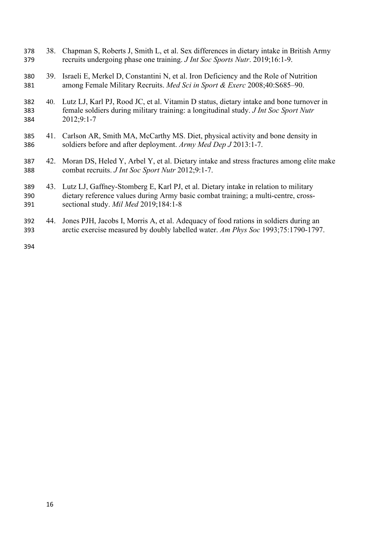- 38. Chapman S, Roberts J, Smith L, et al. Sex differences in dietary intake in British Army recruits undergoing phase one training. *J Int Soc Sports Nutr*. 2019;16:1-9.
- 39. Israeli E, Merkel D, Constantini N, et al. Iron Deficiency and the Role of Nutrition among Female Military Recruits. *Med Sci in Sport & Exerc* 2008;40:S685–90.
- 40. Lutz LJ, Karl PJ, Rood JC, et al. Vitamin D status, dietary intake and bone turnover in female soldiers during military training: a longitudinal study. *J Int Soc Sport Nutr* 2012;9:1-7
- 41. Carlson AR, Smith MA, McCarthy MS. Diet, physical activity and bone density in soldiers before and after deployment. *Army Med Dep J* 2013:1-7.
- 42. Moran DS, Heled Y, Arbel Y, et al. Dietary intake and stress fractures among elite make combat recruits. *J Int Soc Sport Nutr* 2012;9:1-7.
- 43. Lutz LJ, Gaffney-Stomberg E, Karl PJ, et al. Dietary intake in relation to military dietary reference values during Army basic combat training; a multi-centre, cross-sectional study. *Mil Med* 2019;184:1-8
- 44. Jones PJH, Jacobs I, Morris A, et al. Adequacy of food rations in soldiers during an arctic exercise measured by doubly labelled water. *Am Phys Soc* 1993;75:1790-1797.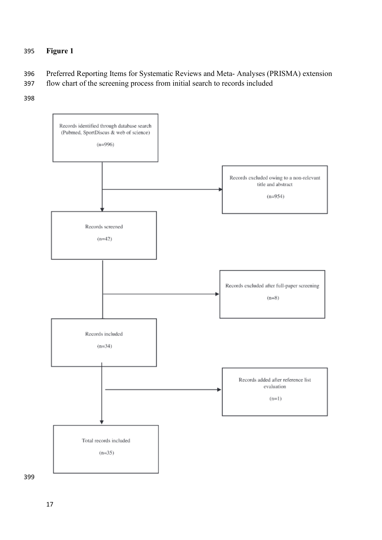# **Figure 1**

- Preferred Reporting Items for Systematic Reviews and Meta- Analyses (PRISMA) extension
- flow chart of the screening process from initial search to records included
-